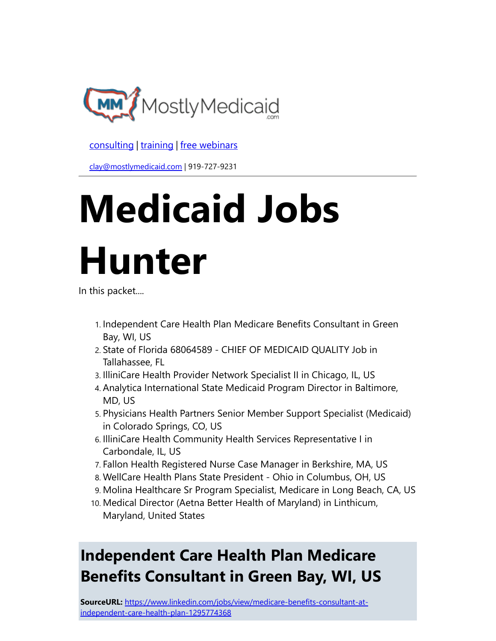

[consulting](http://bit.ly/2L815p0) | [training](http://bit.ly/2zL1l4r) | [free webinars](http://bit.ly/2ccl593) 

[clay@mostlymedicaid.com](mailto:clay@mostlymedicaid.com) | 919-727-9231

# Medicaid Jobs Hunter

In this packet....

- 1. Independent Care Health Plan Medicare Benefits Consultant in Green Bay, WI, US
- 2. State of Florida 68064589 CHIEF OF MEDICAID QUALITY Job in Tallahassee, FL
- 3. IlliniCare Health Provider Network Specialist II in Chicago, IL, US
- 4. Analytica International State Medicaid Program Director in Baltimore, MD, US
- 5. Physicians Health Partners Senior Member Support Specialist (Medicaid) in Colorado Springs, CO, US
- 6. IlliniCare Health Community Health Services Representative I in Carbondale, IL, US
- 7. Fallon Health Registered Nurse Case Manager in Berkshire, MA, US
- 8. WellCare Health Plans State President Ohio in Columbus, OH, US
- 9. Molina Healthcare Sr Program Specialist, Medicare in Long Beach, CA, US
- 10. Medical Director (Aetna Better Health of Maryland) in Linthicum, Maryland, United States

# Independent Care Health Plan Medicare Benefits Consultant in Green Bay, WI, US

SourceURL: [https://www.linkedin.com/jobs/view/medicare-benefits-consultant-at](https://www.linkedin.com/jobs/view/medicare-benefits-consultant-at-independent-care-health-plan-1295774368)independent-care-health-plan-1295774368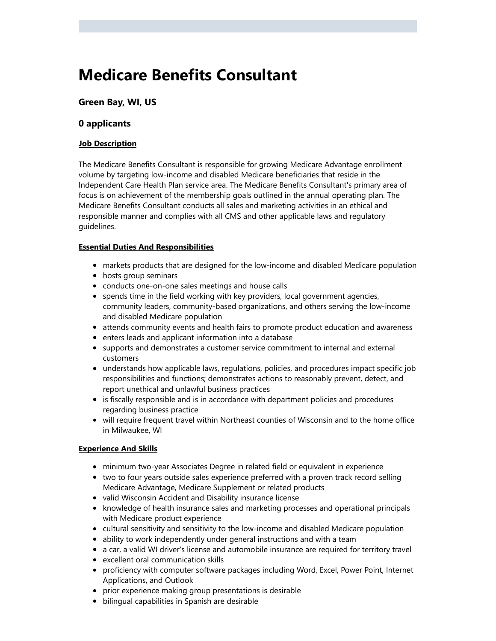### Medicare Benefits Consultant

#### Green Bay, WI, US

#### 0 applicants

#### Job Description

The Medicare Benefits Consultant is responsible for growing Medicare Advantage enrollment volume by targeting low-income and disabled Medicare beneficiaries that reside in the Independent Care Health Plan service area. The Medicare Benefits Consultant's primary area of focus is on achievement of the membership goals outlined in the annual operating plan. The Medicare Benefits Consultant conducts all sales and marketing activities in an ethical and responsible manner and complies with all CMS and other applicable laws and regulatory guidelines.

#### Essential Duties And Responsibilities

- markets products that are designed for the low-income and disabled Medicare population
- hosts group seminars
- conducts one-on-one sales meetings and house calls
- spends time in the field working with key providers, local government agencies, community leaders, community-based organizations, and others serving the low-income and disabled Medicare population
- attends community events and health fairs to promote product education and awareness
- enters leads and applicant information into a database
- supports and demonstrates a customer service commitment to internal and external customers
- understands how applicable laws, regulations, policies, and procedures impact specific job responsibilities and functions; demonstrates actions to reasonably prevent, detect, and report unethical and unlawful business practices
- is fiscally responsible and is in accordance with department policies and procedures regarding business practice
- will require frequent travel within Northeast counties of Wisconsin and to the home office in Milwaukee, WI

#### Experience And Skills

- minimum two-year Associates Degree in related field or equivalent in experience
- two to four years outside sales experience preferred with a proven track record selling Medicare Advantage, Medicare Supplement or related products
- valid Wisconsin Accident and Disability insurance license
- knowledge of health insurance sales and marketing processes and operational principals with Medicare product experience
- cultural sensitivity and sensitivity to the low-income and disabled Medicare population
- ability to work independently under general instructions and with a team
- a car, a valid WI driver's license and automobile insurance are required for territory travel
- excellent oral communication skills
- proficiency with computer software packages including Word, Excel, Power Point, Internet Applications, and Outlook
- prior experience making group presentations is desirable
- bilingual capabilities in Spanish are desirable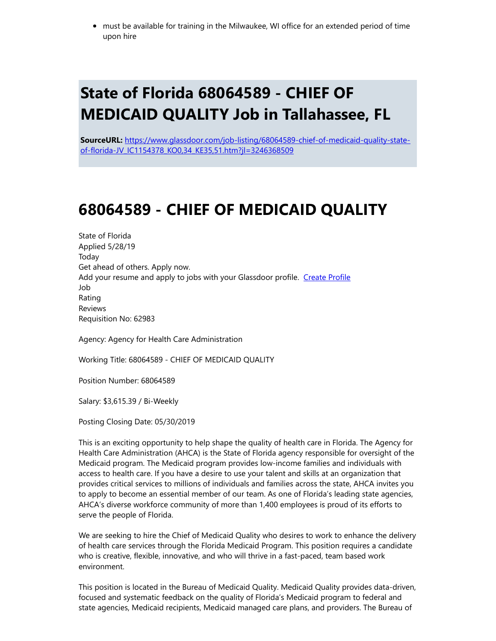must be available for training in the Milwaukee, WI office for an extended period of time upon hire

### State of Florida 68064589 - CHIEF OF MEDICAID QUALITY Job in Tallahassee, FL

SourceURL: [https://www.glassdoor.com/job-listing/68064589-chief-of-medicaid-quality-state](https://www.glassdoor.com/job-listing/68064589-chief-of-medicaid-quality-state-of-florida-JV_IC1154378_KO0,34_KE35,51.htm?jl=3246368509)of-florida-JV\_IC1154378\_KO0,34\_KE35,51.htm?jl=3246368509

### 68064589 - CHIEF OF MEDICAID QUALITY

State of Florida Applied 5/28/19 Today Get ahead of others. Apply now. Add your resume and apply to jobs with your Glassdoor profile. [Create Profile](https://www.glassdoor.com/member/profile/index.htm?profileOrigin=JOB_VIEW) Job Rating Reviews Requisition No: 62983

Agency: Agency for Health Care Administration

Working Title: 68064589 - CHIEF OF MEDICAID QUALITY

Position Number: 68064589

Salary: \$3,615.39 / Bi-Weekly

Posting Closing Date: 05/30/2019

This is an exciting opportunity to help shape the quality of health care in Florida. The Agency for Health Care Administration (AHCA) is the State of Florida agency responsible for oversight of the Medicaid program. The Medicaid program provides low-income families and individuals with access to health care. If you have a desire to use your talent and skills at an organization that provides critical services to millions of individuals and families across the state, AHCA invites you to apply to become an essential member of our team. As one of Florida's leading state agencies, AHCA's diverse workforce community of more than 1,400 employees is proud of its efforts to serve the people of Florida.

We are seeking to hire the Chief of Medicaid Quality who desires to work to enhance the delivery of health care services through the Florida Medicaid Program. This position requires a candidate who is creative, flexible, innovative, and who will thrive in a fast-paced, team based work environment.

This position is located in the Bureau of Medicaid Quality. Medicaid Quality provides data-driven, focused and systematic feedback on the quality of Florida's Medicaid program to federal and state agencies, Medicaid recipients, Medicaid managed care plans, and providers. The Bureau of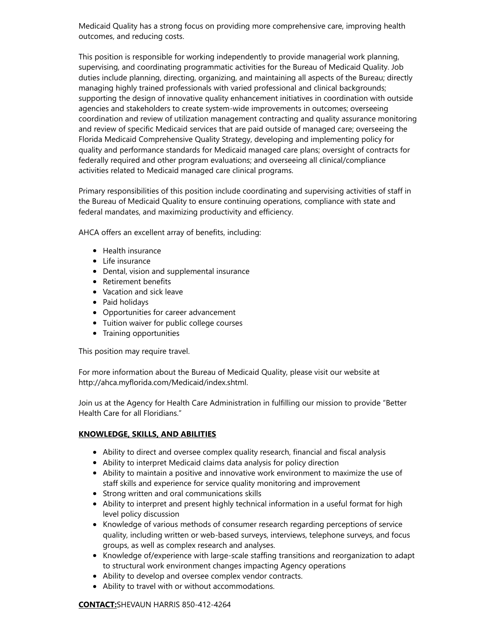Medicaid Quality has a strong focus on providing more comprehensive care, improving health outcomes, and reducing costs.

This position is responsible for working independently to provide managerial work planning, supervising, and coordinating programmatic activities for the Bureau of Medicaid Quality. Job duties include planning, directing, organizing, and maintaining all aspects of the Bureau; directly managing highly trained professionals with varied professional and clinical backgrounds; supporting the design of innovative quality enhancement initiatives in coordination with outside agencies and stakeholders to create system-wide improvements in outcomes; overseeing coordination and review of utilization management contracting and quality assurance monitoring and review of specific Medicaid services that are paid outside of managed care; overseeing the Florida Medicaid Comprehensive Quality Strategy, developing and implementing policy for quality and performance standards for Medicaid managed care plans; oversight of contracts for federally required and other program evaluations; and overseeing all clinical/compliance activities related to Medicaid managed care clinical programs.

Primary responsibilities of this position include coordinating and supervising activities of staff in the Bureau of Medicaid Quality to ensure continuing operations, compliance with state and federal mandates, and maximizing productivity and efficiency.

AHCA offers an excellent array of benefits, including:

- Health insurance
- Life insurance
- Dental, vision and supplemental insurance
- Retirement benefits
- Vacation and sick leave
- Paid holidays
- Opportunities for career advancement
- Tuition waiver for public college courses
- Training opportunities

This position may require travel.

For more information about the Bureau of Medicaid Quality, please visit our website at http://ahca.myflorida.com/Medicaid/index.shtml.

Join us at the Agency for Health Care Administration in fulfilling our mission to provide "Better Health Care for all Floridians."

#### KNOWLEDGE, SKILLS, AND ABILITIES

- Ability to direct and oversee complex quality research, financial and fiscal analysis
- Ability to interpret Medicaid claims data analysis for policy direction
- Ability to maintain a positive and innovative work environment to maximize the use of staff skills and experience for service quality monitoring and improvement
- **•** Strong written and oral communications skills
- Ability to interpret and present highly technical information in a useful format for high level policy discussion
- Knowledge of various methods of consumer research regarding perceptions of service quality, including written or web-based surveys, interviews, telephone surveys, and focus groups, as well as complex research and analyses.
- Knowledge of/experience with large-scale staffing transitions and reorganization to adapt to structural work environment changes impacting Agency operations
- Ability to develop and oversee complex vendor contracts.
- Ability to travel with or without accommodations.

CONTACT:SHEVAUN HARRIS 850-412-4264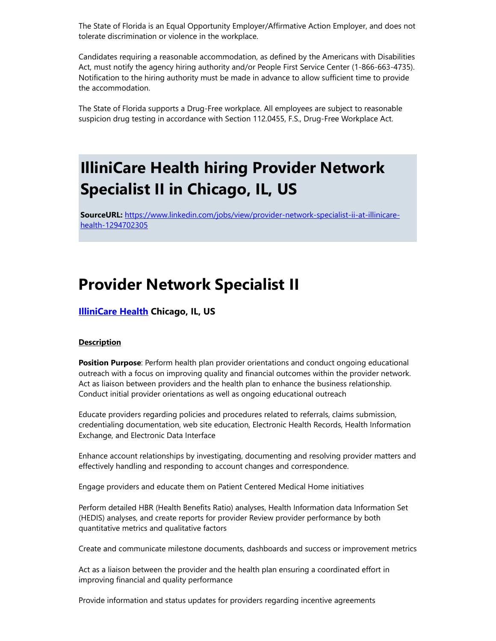The State of Florida is an Equal Opportunity Employer/Affirmative Action Employer, and does not tolerate discrimination or violence in the workplace.

Candidates requiring a reasonable accommodation, as defined by the Americans with Disabilities Act, must notify the agency hiring authority and/or People First Service Center (1-866-663-4735). Notification to the hiring authority must be made in advance to allow sufficient time to provide the accommodation.

The State of Florida supports a Drug-Free workplace. All employees are subject to reasonable suspicion drug testing in accordance with Section 112.0455, F.S., Drug-Free Workplace Act.

### IlliniCare Health hiring Provider Network Specialist II in Chicago, IL, US

SourceURL: [https://www.linkedin.com/jobs/view/provider-network-specialist-ii-at-illinicare](https://www.linkedin.com/jobs/view/provider-network-specialist-ii-at-illinicare-health-1294702305)health-1294702305

### Provider Network Specialist II

#### **[IlliniCare](https://www.linkedin.com/company/illinicare-health-plan-inc-?trk=guest_job_details_topcard_org_name) Health Chicago, IL, US**

#### **Description**

**Position Purpose**: Perform health plan provider orientations and conduct ongoing educational outreach with a focus on improving quality and financial outcomes within the provider network. Act as liaison between providers and the health plan to enhance the business relationship. Conduct initial provider orientations as well as ongoing educational outreach

Educate providers regarding policies and procedures related to referrals, claims submission, credentialing documentation, web site education, Electronic Health Records, Health Information Exchange, and Electronic Data Interface

Enhance account relationships by investigating, documenting and resolving provider matters and effectively handling and responding to account changes and correspondence.

Engage providers and educate them on Patient Centered Medical Home initiatives

Perform detailed HBR (Health Benefits Ratio) analyses, Health Information data Information Set (HEDIS) analyses, and create reports for provider Review provider performance by both quantitative metrics and qualitative factors

Create and communicate milestone documents, dashboards and success or improvement metrics

Act as a liaison between the provider and the health plan ensuring a coordinated effort in improving financial and quality performance

Provide information and status updates for providers regarding incentive agreements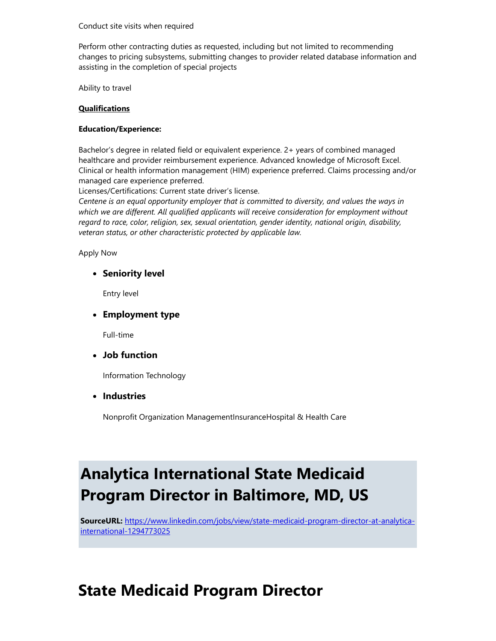#### Conduct site visits when required

Perform other contracting duties as requested, including but not limited to recommending changes to pricing subsystems, submitting changes to provider related database information and assisting in the completion of special projects

Ability to travel

#### **Qualifications**

#### Education/Experience:

Bachelor's degree in related field or equivalent experience. 2+ years of combined managed healthcare and provider reimbursement experience. Advanced knowledge of Microsoft Excel. Clinical or health information management (HIM) experience preferred. Claims processing and/or managed care experience preferred.

Licenses/Certifications: Current state driver's license.

Centene is an equal opportunity employer that is committed to diversity, and values the ways in which we are different. All qualified applicants will receive consideration for employment without regard to race, color, religion, sex, sexual orientation, gender identity, national origin, disability, veteran status, or other characteristic protected by applicable law.

Apply Now

• Seniority level

Entry level

• Employment type

Full-time

Job function

Information Technology

• Industries

Nonprofit Organization ManagementInsuranceHospital & Health Care

# Analytica International State Medicaid Program Director in Baltimore, MD, US

SourceURL: [https://www.linkedin.com/jobs/view/state-medicaid-program-director-at-analytica](https://www.linkedin.com/jobs/view/state-medicaid-program-director-at-analytica-international-1294773025)international-1294773025

### State Medicaid Program Director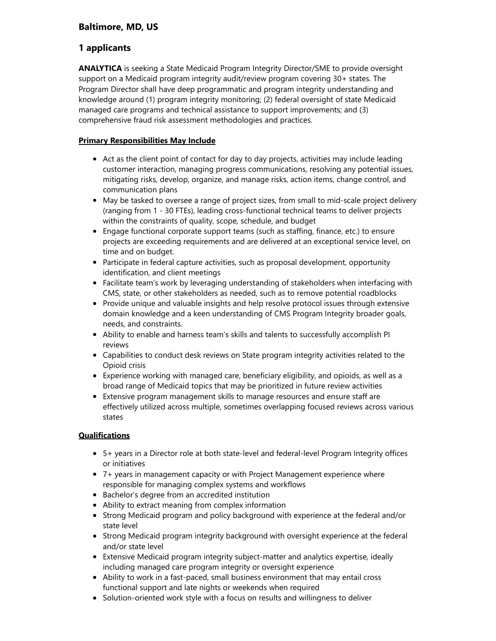#### Baltimore, MD, US

#### 1 applicants

ANALYTICA is seeking a State Medicaid Program Integrity Director/SME to provide oversight support on a Medicaid program integrity audit/review program covering 30+ states. The Program Director shall have deep programmatic and program integrity understanding and knowledge around (1) program integrity monitoring; (2) federal oversight of state Medicaid managed care programs and technical assistance to support improvements; and (3) comprehensive fraud risk assessment methodologies and practices.

#### Primary Responsibilities May Include

- Act as the client point of contact for day to day projects, activities may include leading customer interaction, managing progress communications, resolving any potential issues, mitigating risks, develop, organize, and manage risks, action items, change control, and communication plans
- May be tasked to oversee a range of project sizes, from small to mid-scale project delivery (ranging from 1 - 30 FTEs), leading cross-functional technical teams to deliver projects within the constraints of quality, scope, schedule, and budget
- Engage functional corporate support teams (such as staffing, finance, etc.) to ensure projects are exceeding requirements and are delivered at an exceptional service level, on time and on budget.
- Participate in federal capture activities, such as proposal development, opportunity identification, and client meetings
- Facilitate team's work by leveraging understanding of stakeholders when interfacing with CMS, state, or other stakeholders as needed, such as to remove potential roadblocks
- Provide unique and valuable insights and help resolve protocol issues through extensive domain knowledge and a keen understanding of CMS Program Integrity broader goals, needs, and constraints.
- Ability to enable and harness team's skills and talents to successfully accomplish PI reviews
- Capabilities to conduct desk reviews on State program integrity activities related to the Opioid crisis
- Experience working with managed care, beneficiary eligibility, and opioids, as well as a broad range of Medicaid topics that may be prioritized in future review activities
- Extensive program management skills to manage resources and ensure staff are effectively utilized across multiple, sometimes overlapping focused reviews across various states

#### **Qualifications**

- 5+ years in a Director role at both state-level and federal-level Program Integrity offices or initiatives
- 7+ years in management capacity or with Project Management experience where responsible for managing complex systems and workflows
- Bachelor's degree from an accredited institution
- Ability to extract meaning from complex information
- Strong Medicaid program and policy background with experience at the federal and/or state level
- Strong Medicaid program integrity background with oversight experience at the federal and/or state level
- Extensive Medicaid program integrity subject-matter and analytics expertise, ideally including managed care program integrity or oversight experience
- Ability to work in a fast-paced, small business environment that may entail cross functional support and late nights or weekends when required
- Solution-oriented work style with a focus on results and willingness to deliver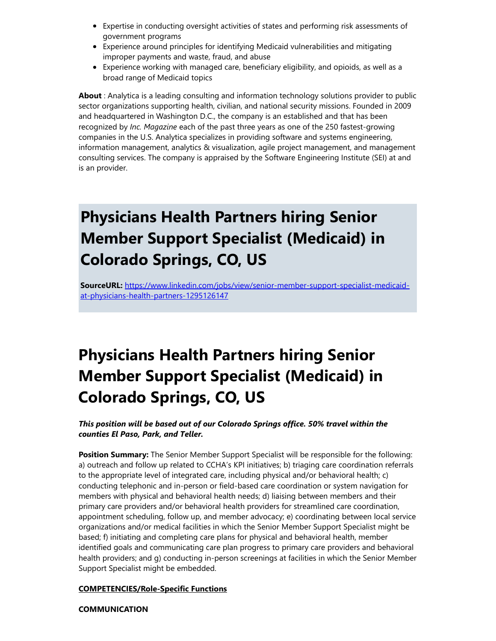- Expertise in conducting oversight activities of states and performing risk assessments of government programs
- Experience around principles for identifying Medicaid vulnerabilities and mitigating improper payments and waste, fraud, and abuse
- Experience working with managed care, beneficiary eligibility, and opioids, as well as a broad range of Medicaid topics

About : Analytica is a leading consulting and information technology solutions provider to public sector organizations supporting health, civilian, and national security missions. Founded in 2009 and headquartered in Washington D.C., the company is an established and that has been recognized by Inc. Magazine each of the past three years as one of the 250 fastest-growing companies in the U.S. Analytica specializes in providing software and systems engineering, information management, analytics & visualization, agile project management, and management consulting services. The company is appraised by the Software Engineering Institute (SEI) at and is an provider.

# Physicians Health Partners hiring Senior Member Support Specialist (Medicaid) in Colorado Springs, CO, US

SourceURL: [https://www.linkedin.com/jobs/view/senior-member-support-specialist-medicaid](https://www.linkedin.com/jobs/view/senior-member-support-specialist-medicaid-at-physicians-health-partners-1295126147)at-physicians-health-partners-1295126147

# Physicians Health Partners hiring Senior Member Support Specialist (Medicaid) in Colorado Springs, CO, US

#### This position will be based out of our Colorado Springs office. 50% travel within the counties El Paso, Park, and Teller.

**Position Summary:** The Senior Member Support Specialist will be responsible for the following: a) outreach and follow up related to CCHA's KPI initiatives; b) triaging care coordination referrals to the appropriate level of integrated care, including physical and/or behavioral health; c) conducting telephonic and in-person or field-based care coordination or system navigation for members with physical and behavioral health needs; d) liaising between members and their primary care providers and/or behavioral health providers for streamlined care coordination, appointment scheduling, follow up, and member advocacy; e) coordinating between local service organizations and/or medical facilities in which the Senior Member Support Specialist might be based; f) initiating and completing care plans for physical and behavioral health, member identified goals and communicating care plan progress to primary care providers and behavioral health providers; and g) conducting in-person screenings at facilities in which the Senior Member Support Specialist might be embedded.

#### COMPETENCIES/Role-Specific Functions

**COMMUNICATION**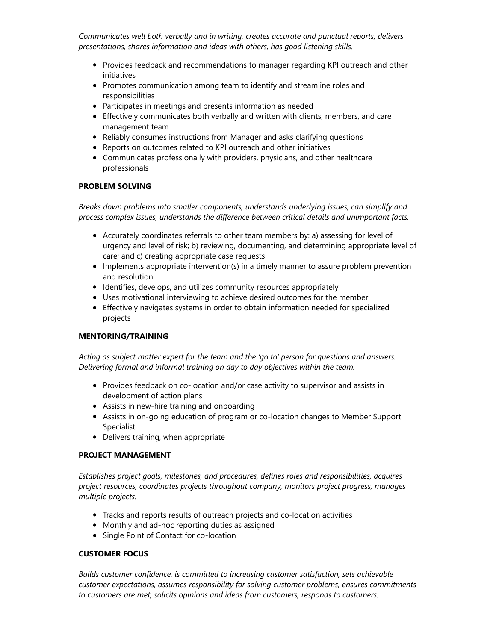Communicates well both verbally and in writing, creates accurate and punctual reports, delivers presentations, shares information and ideas with others, has good listening skills.

- Provides feedback and recommendations to manager regarding KPI outreach and other initiatives
- Promotes communication among team to identify and streamline roles and responsibilities
- Participates in meetings and presents information as needed
- Effectively communicates both verbally and written with clients, members, and care management team
- Reliably consumes instructions from Manager and asks clarifying questions
- Reports on outcomes related to KPI outreach and other initiatives
- Communicates professionally with providers, physicians, and other healthcare professionals

#### PROBLEM SOLVING

Breaks down problems into smaller components, understands underlying issues, can simplify and process complex issues, understands the difference between critical details and unimportant facts.

- Accurately coordinates referrals to other team members by: a) assessing for level of urgency and level of risk; b) reviewing, documenting, and determining appropriate level of care; and c) creating appropriate case requests
- Implements appropriate intervention(s) in a timely manner to assure problem prevention and resolution
- Identifies, develops, and utilizes community resources appropriately
- Uses motivational interviewing to achieve desired outcomes for the member
- Effectively navigates systems in order to obtain information needed for specialized projects

#### MENTORING/TRAINING

Acting as subject matter expert for the team and the 'go to' person for questions and answers. Delivering formal and informal training on day to day objectives within the team.

- Provides feedback on co-location and/or case activity to supervisor and assists in development of action plans
- Assists in new-hire training and onboarding
- Assists in on-going education of program or co-location changes to Member Support Specialist
- Delivers training, when appropriate

#### PROJECT MANAGEMENT

Establishes project goals, milestones, and procedures, defines roles and responsibilities, acquires project resources, coordinates projects throughout company, monitors project progress, manages multiple projects.

- Tracks and reports results of outreach projects and co-location activities
- Monthly and ad-hoc reporting duties as assigned
- Single Point of Contact for co-location

#### CUSTOMER FOCUS

Builds customer confidence, is committed to increasing customer satisfaction, sets achievable customer expectations, assumes responsibility for solving customer problems, ensures commitments to customers are met, solicits opinions and ideas from customers, responds to customers.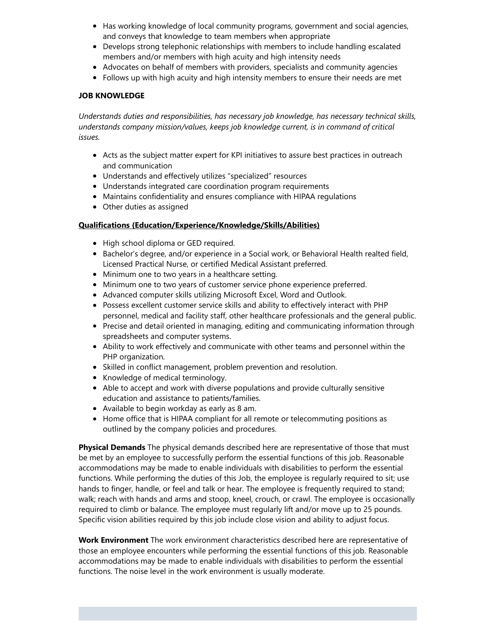- Has working knowledge of local community programs, government and social agencies, and conveys that knowledge to team members when appropriate
- Develops strong telephonic relationships with members to include handling escalated members and/or members with high acuity and high intensity needs
- Advocates on behalf of members with providers, specialists and community agencies
- Follows up with high acuity and high intensity members to ensure their needs are met

#### JOB KNOWLEDGE

Understands duties and responsibilities, has necessary job knowledge, has necessary technical skills, understands company mission/values, keeps job knowledge current, is in command of critical issues.

- Acts as the subject matter expert for KPI initiatives to assure best practices in outreach and communication
- Understands and effectively utilizes "specialized" resources
- Understands integrated care coordination program requirements
- Maintains confidentiality and ensures compliance with HIPAA regulations
- Other duties as assigned

#### Qualifications (Education/Experience/Knowledge/Skills/Abilities)

- High school diploma or GED required.
- **Bachelor's degree, and/or experience in a Social work, or Behavioral Health realted field,** Licensed Practical Nurse, or certified Medical Assistant preferred.
- Minimum one to two years in a healthcare setting.
- Minimum one to two years of customer service phone experience preferred.
- Advanced computer skills utilizing Microsoft Excel, Word and Outlook.
- Possess excellent customer service skills and ability to effectively interact with PHP personnel, medical and facility staff, other healthcare professionals and the general public.
- Precise and detail oriented in managing, editing and communicating information through spreadsheets and computer systems.
- Ability to work effectively and communicate with other teams and personnel within the PHP organization.
- Skilled in conflict management, problem prevention and resolution.
- Knowledge of medical terminology.
- Able to accept and work with diverse populations and provide culturally sensitive education and assistance to patients/families.
- Available to begin workday as early as 8 am.
- Home office that is HIPAA compliant for all remote or telecommuting positions as outlined by the company policies and procedures.

**Physical Demands** The physical demands described here are representative of those that must be met by an employee to successfully perform the essential functions of this job. Reasonable accommodations may be made to enable individuals with disabilities to perform the essential functions. While performing the duties of this Job, the employee is regularly required to sit; use hands to finger, handle, or feel and talk or hear. The employee is frequently required to stand; walk; reach with hands and arms and stoop, kneel, crouch, or crawl. The employee is occasionally required to climb or balance. The employee must regularly lift and/or move up to 25 pounds. Specific vision abilities required by this job include close vision and ability to adjust focus.

Work Environment The work environment characteristics described here are representative of those an employee encounters while performing the essential functions of this job. Reasonable accommodations may be made to enable individuals with disabilities to perform the essential functions. The noise level in the work environment is usually moderate.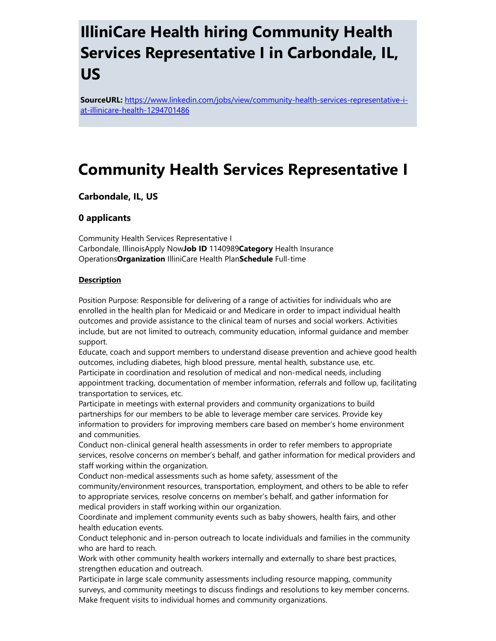## IlliniCare Health hiring Community Health Services Representative I in Carbondale, IL, US

SourceURL: [https://www.linkedin.com/jobs/view/community-health-services-representative-i](https://www.linkedin.com/jobs/view/community-health-services-representative-i-at-illinicare-health-1294701486)at-illinicare-health-1294701486

### Community Health Services Representative I

#### Carbondale, IL, US

#### 0 applicants

Community Health Services Representative I Carbondale, IllinoisApply NowJob ID 1140989Category Health Insurance OperationsOrganization IlliniCare Health PlanSchedule Full-time

#### **Description**

Position Purpose: Responsible for delivering of a range of activities for individuals who are enrolled in the health plan for Medicaid or and Medicare in order to impact individual health outcomes and provide assistance to the clinical team of nurses and social workers. Activities include, but are not limited to outreach, community education, informal guidance and member support.

Educate, coach and support members to understand disease prevention and achieve good health outcomes, including diabetes, high blood pressure, mental health, substance use, etc. Participate in coordination and resolution of medical and non-medical needs, including appointment tracking, documentation of member information, referrals and follow up, facilitating transportation to services, etc.

Participate in meetings with external providers and community organizations to build partnerships for our members to be able to leverage member care services. Provide key information to providers for improving members care based on member's home environment and communities.

Conduct non-clinical general health assessments in order to refer members to appropriate services, resolve concerns on member's behalf, and gather information for medical providers and staff working within the organization.

Conduct non-medical assessments such as home safety, assessment of the community/environment resources, transportation, employment, and others to be able to refer to appropriate services, resolve concerns on member's behalf, and gather information for medical providers in staff working within our organization.

Coordinate and implement community events such as baby showers, health fairs, and other health education events.

Conduct telephonic and in-person outreach to locate individuals and families in the community who are hard to reach.

Work with other community health workers internally and externally to share best practices, strengthen education and outreach.

Participate in large scale community assessments including resource mapping, community surveys, and community meetings to discuss findings and resolutions to key member concerns. Make frequent visits to individual homes and community organizations.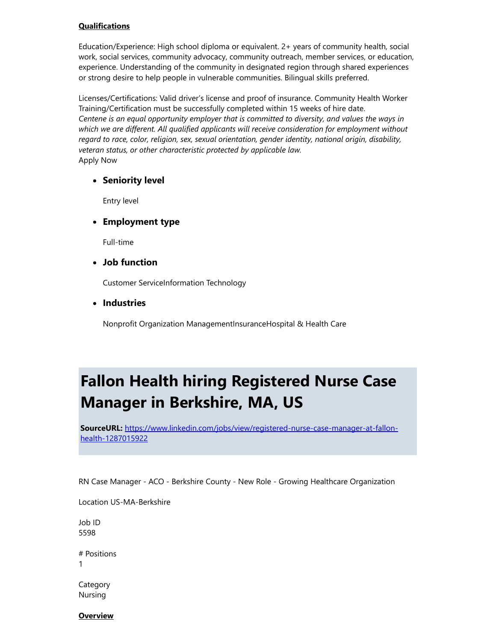#### **Qualifications**

Education/Experience: High school diploma or equivalent. 2+ years of community health, social work, social services, community advocacy, community outreach, member services, or education, experience. Understanding of the community in designated region through shared experiences or strong desire to help people in vulnerable communities. Bilingual skills preferred.

Licenses/Certifications: Valid driver's license and proof of insurance. Community Health Worker Training/Certification must be successfully completed within 15 weeks of hire date. Centene is an equal opportunity employer that is committed to diversity, and values the ways in which we are different. All qualified applicants will receive consideration for employment without regard to race, color, religion, sex, sexual orientation, gender identity, national origin, disability, veteran status, or other characteristic protected by applicable law. Apply Now

#### • Seniority level

Entry level

#### Employment type

Full-time

#### Job function

Customer ServiceInformation Technology

#### • Industries

Nonprofit Organization ManagementInsuranceHospital & Health Care

# Fallon Health hiring Registered Nurse Case Manager in Berkshire, MA, US

SourceURL: [https://www.linkedin.com/jobs/view/registered-nurse-case-manager-at-fallon](https://www.linkedin.com/jobs/view/registered-nurse-case-manager-at-fallon-health-1287015922)health-1287015922

RN Case Manager - ACO - Berkshire County - New Role - Growing Healthcare Organization

Location US-MA-Berkshire

Job ID 5598

# Positions 1

Category Nursing

**Overview**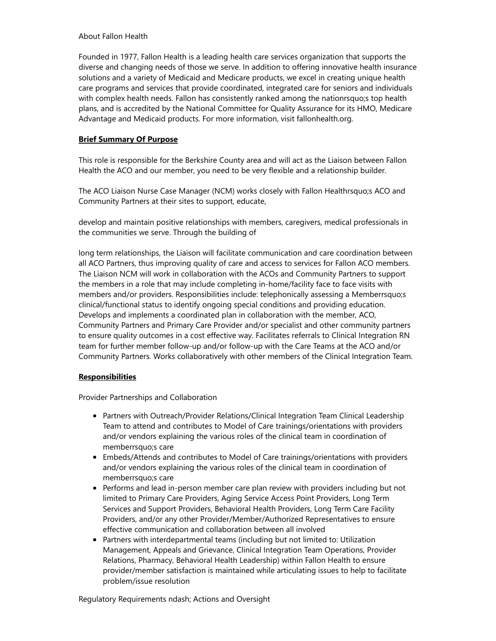#### About Fallon Health

Founded in 1977, Fallon Health is a leading health care services organization that supports the diverse and changing needs of those we serve. In addition to offering innovative health insurance solutions and a variety of Medicaid and Medicare products, we excel in creating unique health care programs and services that provide coordinated, integrated care for seniors and individuals with complex health needs. Fallon has consistently ranked among the nationrsquo;s top health plans, and is accredited by the National Committee for Quality Assurance for its HMO, Medicare Advantage and Medicaid products. For more information, visit fallonhealth.org.

#### Brief Summary Of Purpose

This role is responsible for the Berkshire County area and will act as the Liaison between Fallon Health the ACO and our member, you need to be very flexible and a relationship builder.

The ACO Liaison Nurse Case Manager (NCM) works closely with Fallon Healthrsquo;s ACO and Community Partners at their sites to support, educate,

develop and maintain positive relationships with members, caregivers, medical professionals in the communities we serve. Through the building of

long term relationships, the Liaison will facilitate communication and care coordination between all ACO Partners, thus improving quality of care and access to services for Fallon ACO members. The Liaison NCM will work in collaboration with the ACOs and Community Partners to support the members in a role that may include completing in-home/facility face to face visits with members and/or providers. Responsibilities include: telephonically assessing a Memberrsquo;s clinical/functional status to identify ongoing special conditions and providing education. Develops and implements a coordinated plan in collaboration with the member, ACO, Community Partners and Primary Care Provider and/or specialist and other community partners to ensure quality outcomes in a cost effective way. Facilitates referrals to Clinical Integration RN team for further member follow-up and/or follow-up with the Care Teams at the ACO and/or Community Partners. Works collaboratively with other members of the Clinical Integration Team.

#### **Responsibilities**

Provider Partnerships and Collaboration

- Partners with Outreach/Provider Relations/Clinical Integration Team Clinical Leadership Team to attend and contributes to Model of Care trainings/orientations with providers and/or vendors explaining the various roles of the clinical team in coordination of memberrsquo;s care
- Embeds/Attends and contributes to Model of Care trainings/orientations with providers and/or vendors explaining the various roles of the clinical team in coordination of memberrsquo;s care
- Performs and lead in-person member care plan review with providers including but not limited to Primary Care Providers, Aging Service Access Point Providers, Long Term Services and Support Providers, Behavioral Health Providers, Long Term Care Facility Providers, and/or any other Provider/Member/Authorized Representatives to ensure effective communication and collaboration between all involved
- Partners with interdepartmental teams (including but not limited to: Utilization Management, Appeals and Grievance, Clinical Integration Team Operations, Provider Relations, Pharmacy, Behavioral Health Leadership) within Fallon Health to ensure provider/member satisfaction is maintained while articulating issues to help to facilitate problem/issue resolution

Regulatory Requirements ndash; Actions and Oversight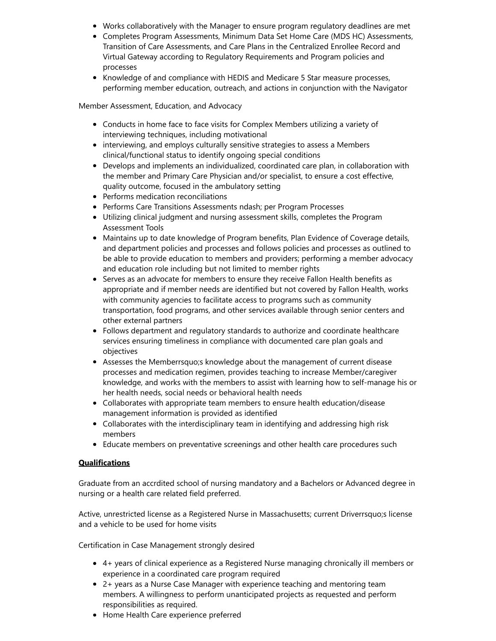- Works collaboratively with the Manager to ensure program regulatory deadlines are met
- Completes Program Assessments, Minimum Data Set Home Care (MDS HC) Assessments, Transition of Care Assessments, and Care Plans in the Centralized Enrollee Record and Virtual Gateway according to Regulatory Requirements and Program policies and processes
- Knowledge of and compliance with HEDIS and Medicare 5 Star measure processes, performing member education, outreach, and actions in conjunction with the Navigator

Member Assessment, Education, and Advocacy

- Conducts in home face to face visits for Complex Members utilizing a variety of interviewing techniques, including motivational
- interviewing, and employs culturally sensitive strategies to assess a Members clinical/functional status to identify ongoing special conditions
- Develops and implements an individualized, coordinated care plan, in collaboration with the member and Primary Care Physician and/or specialist, to ensure a cost effective, quality outcome, focused in the ambulatory setting
- Performs medication reconciliations
- Performs Care Transitions Assessments ndash; per Program Processes
- Utilizing clinical judgment and nursing assessment skills, completes the Program Assessment Tools
- Maintains up to date knowledge of Program benefits, Plan Evidence of Coverage details, and department policies and processes and follows policies and processes as outlined to be able to provide education to members and providers; performing a member advocacy and education role including but not limited to member rights
- Serves as an advocate for members to ensure they receive Fallon Health benefits as appropriate and if member needs are identified but not covered by Fallon Health, works with community agencies to facilitate access to programs such as community transportation, food programs, and other services available through senior centers and other external partners
- Follows department and regulatory standards to authorize and coordinate healthcare services ensuring timeliness in compliance with documented care plan goals and objectives
- Assesses the Memberrsquo;s knowledge about the management of current disease processes and medication regimen, provides teaching to increase Member/caregiver knowledge, and works with the members to assist with learning how to self-manage his or her health needs, social needs or behavioral health needs
- Collaborates with appropriate team members to ensure health education/disease management information is provided as identified
- Collaborates with the interdisciplinary team in identifying and addressing high risk members
- Educate members on preventative screenings and other health care procedures such

#### **Qualifications**

Graduate from an accrdited school of nursing mandatory and a Bachelors or Advanced degree in nursing or a health care related field preferred.

Active, unrestricted license as a Registered Nurse in Massachusetts; current Driverrsquo;s license and a vehicle to be used for home visits

Certification in Case Management strongly desired

- 4+ years of clinical experience as a Registered Nurse managing chronically ill members or experience in a coordinated care program required
- 2+ years as a Nurse Case Manager with experience teaching and mentoring team members. A willingness to perform unanticipated projects as requested and perform responsibilities as required.
- Home Health Care experience preferred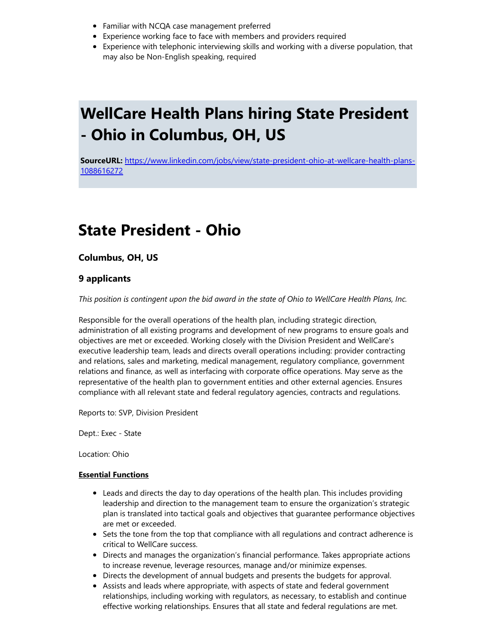- Familiar with NCQA case management preferred
- Experience working face to face with members and providers required
- Experience with telephonic interviewing skills and working with a diverse population, that may also be Non-English speaking, required

# WellCare Health Plans hiring State President - Ohio in Columbus, OH, US

SourceURL: [https://www.linkedin.com/jobs/view/state-president-ohio-at-wellcare-health-plans-](https://www.linkedin.com/jobs/view/state-president-ohio-at-wellcare-health-plans-1088616272)1088616272

### State President - Ohio

Columbus, OH, US

#### 9 applicants

This position is contingent upon the bid award in the state of Ohio to WellCare Health Plans, Inc.

Responsible for the overall operations of the health plan, including strategic direction, administration of all existing programs and development of new programs to ensure goals and objectives are met or exceeded. Working closely with the Division President and WellCare's executive leadership team, leads and directs overall operations including: provider contracting and relations, sales and marketing, medical management, regulatory compliance, government relations and finance, as well as interfacing with corporate office operations. May serve as the representative of the health plan to government entities and other external agencies. Ensures compliance with all relevant state and federal regulatory agencies, contracts and regulations.

Reports to: SVP, Division President

Dept.: Exec - State

Location: Ohio

#### Essential Functions

- Leads and directs the day to day operations of the health plan. This includes providing leadership and direction to the management team to ensure the organization's strategic plan is translated into tactical goals and objectives that guarantee performance objectives are met or exceeded.
- Sets the tone from the top that compliance with all regulations and contract adherence is critical to WellCare success.
- Directs and manages the organization's financial performance. Takes appropriate actions to increase revenue, leverage resources, manage and/or minimize expenses.
- Directs the development of annual budgets and presents the budgets for approval.
- Assists and leads where appropriate, with aspects of state and federal government relationships, including working with regulators, as necessary, to establish and continue effective working relationships. Ensures that all state and federal regulations are met.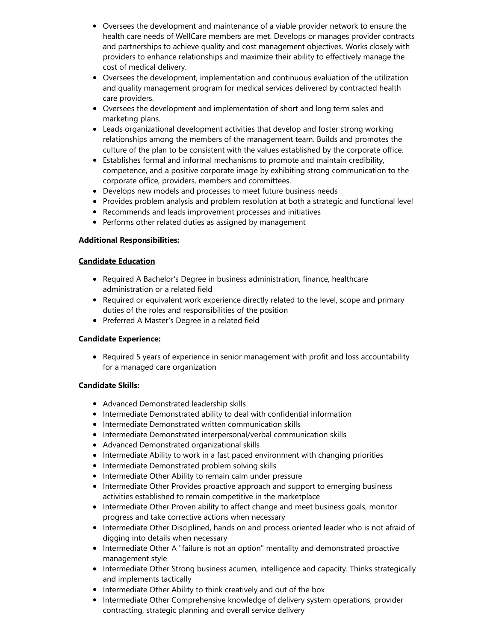- Oversees the development and maintenance of a viable provider network to ensure the health care needs of WellCare members are met. Develops or manages provider contracts and partnerships to achieve quality and cost management objectives. Works closely with providers to enhance relationships and maximize their ability to effectively manage the cost of medical delivery.
- Oversees the development, implementation and continuous evaluation of the utilization and quality management program for medical services delivered by contracted health care providers.
- Oversees the development and implementation of short and long term sales and marketing plans.
- Leads organizational development activities that develop and foster strong working relationships among the members of the management team. Builds and promotes the culture of the plan to be consistent with the values established by the corporate office.
- Establishes formal and informal mechanisms to promote and maintain credibility, competence, and a positive corporate image by exhibiting strong communication to the corporate office, providers, members and committees.
- Develops new models and processes to meet future business needs
- Provides problem analysis and problem resolution at both a strategic and functional level
- Recommends and leads improvement processes and initiatives
- Performs other related duties as assigned by management

#### Additional Responsibilities:

#### Candidate Education

- Required A Bachelor's Degree in business administration, finance, healthcare administration or a related field
- Required or equivalent work experience directly related to the level, scope and primary duties of the roles and responsibilities of the position
- Preferred A Master's Degree in a related field

#### Candidate Experience:

• Required 5 years of experience in senior management with profit and loss accountability for a managed care organization

#### Candidate Skills:

- Advanced Demonstrated leadership skills
- Intermediate Demonstrated ability to deal with confidential information
- Intermediate Demonstrated written communication skills
- Intermediate Demonstrated interpersonal/verbal communication skills
- Advanced Demonstrated organizational skills
- Intermediate Ability to work in a fast paced environment with changing priorities
- Intermediate Demonstrated problem solving skills
- Intermediate Other Ability to remain calm under pressure
- Intermediate Other Provides proactive approach and support to emerging business activities established to remain competitive in the marketplace
- Intermediate Other Proven ability to affect change and meet business goals, monitor progress and take corrective actions when necessary
- Intermediate Other Disciplined, hands on and process oriented leader who is not afraid of digging into details when necessary
- Intermediate Other A "failure is not an option" mentality and demonstrated proactive management style
- Intermediate Other Strong business acumen, intelligence and capacity. Thinks strategically and implements tactically
- Intermediate Other Ability to think creatively and out of the box
- **Intermediate Other Comprehensive knowledge of delivery system operations, provider** contracting, strategic planning and overall service delivery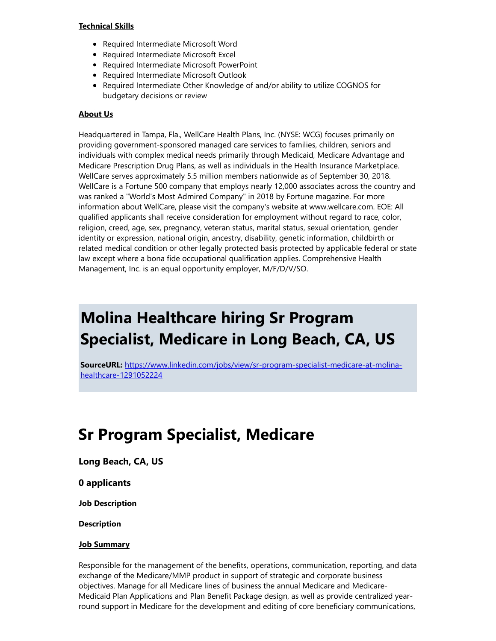#### Technical Skills

- Required Intermediate Microsoft Word
- Required Intermediate Microsoft Excel
- Required Intermediate Microsoft PowerPoint
- Required Intermediate Microsoft Outlook
- Required Intermediate Other Knowledge of and/or ability to utilize COGNOS for budgetary decisions or review

#### About Us

Headquartered in Tampa, Fla., WellCare Health Plans, Inc. (NYSE: WCG) focuses primarily on providing government-sponsored managed care services to families, children, seniors and individuals with complex medical needs primarily through Medicaid, Medicare Advantage and Medicare Prescription Drug Plans, as well as individuals in the Health Insurance Marketplace. WellCare serves approximately 5.5 million members nationwide as of September 30, 2018. WellCare is a Fortune 500 company that employs nearly 12,000 associates across the country and was ranked a "World's Most Admired Company" in 2018 by Fortune magazine. For more information about WellCare, please visit the company's website at www.wellcare.com. EOE: All qualified applicants shall receive consideration for employment without regard to race, color, religion, creed, age, sex, pregnancy, veteran status, marital status, sexual orientation, gender identity or expression, national origin, ancestry, disability, genetic information, childbirth or related medical condition or other legally protected basis protected by applicable federal or state law except where a bona fide occupational qualification applies. Comprehensive Health Management, Inc. is an equal opportunity employer, M/F/D/V/SO.

## Molina Healthcare hiring Sr Program Specialist, Medicare in Long Beach, CA, US

SourceURL: [https://www.linkedin.com/jobs/view/sr-program-specialist-medicare-at-molina](https://www.linkedin.com/jobs/view/sr-program-specialist-medicare-at-molina-healthcare-1291052224)healthcare-1291052224

### Sr Program Specialist, Medicare

Long Beach, CA, US

0 applicants

**Job Description** 

Description

#### **Job Summary**

Responsible for the management of the benefits, operations, communication, reporting, and data exchange of the Medicare/MMP product in support of strategic and corporate business objectives. Manage for all Medicare lines of business the annual Medicare and Medicare-Medicaid Plan Applications and Plan Benefit Package design, as well as provide centralized yearround support in Medicare for the development and editing of core beneficiary communications,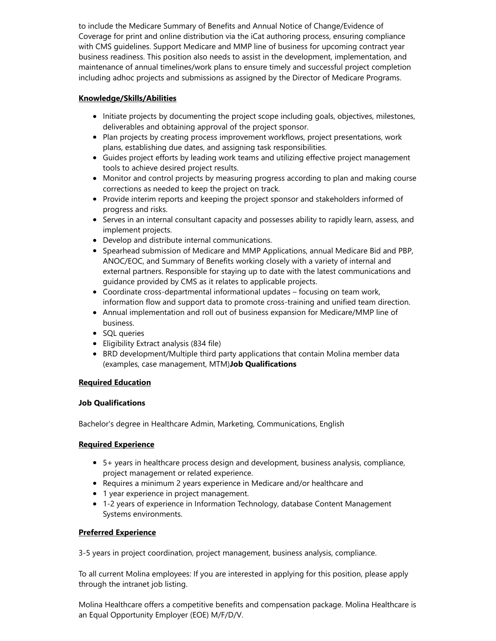to include the Medicare Summary of Benefits and Annual Notice of Change/Evidence of Coverage for print and online distribution via the iCat authoring process, ensuring compliance with CMS guidelines. Support Medicare and MMP line of business for upcoming contract year business readiness. This position also needs to assist in the development, implementation, and maintenance of annual timelines/work plans to ensure timely and successful project completion including adhoc projects and submissions as assigned by the Director of Medicare Programs.

#### Knowledge/Skills/Abilities

- Initiate projects by documenting the project scope including goals, objectives, milestones, deliverables and obtaining approval of the project sponsor.
- Plan projects by creating process improvement workflows, project presentations, work plans, establishing due dates, and assigning task responsibilities.
- Guides project efforts by leading work teams and utilizing effective project management tools to achieve desired project results.
- Monitor and control projects by measuring progress according to plan and making course corrections as needed to keep the project on track.
- Provide interim reports and keeping the project sponsor and stakeholders informed of progress and risks.
- Serves in an internal consultant capacity and possesses ability to rapidly learn, assess, and implement projects.
- Develop and distribute internal communications.
- **•** Spearhead submission of Medicare and MMP Applications, annual Medicare Bid and PBP, ANOC/EOC, and Summary of Benefits working closely with a variety of internal and external partners. Responsible for staying up to date with the latest communications and guidance provided by CMS as it relates to applicable projects.
- Coordinate cross-departmental informational updates focusing on team work, information flow and support data to promote cross-training and unified team direction.
- Annual implementation and roll out of business expansion for Medicare/MMP line of business.
- SQL queries
- Eligibility Extract analysis (834 file)
- **BRD development/Multiple third party applications that contain Molina member data** (examples, case management, MTM)Job Qualifications

#### Required Education

#### Job Qualifications

Bachelor's degree in Healthcare Admin, Marketing, Communications, English

#### Required Experience

- 5+ years in healthcare process design and development, business analysis, compliance, project management or related experience.
- Requires a minimum 2 years experience in Medicare and/or healthcare and
- 1 year experience in project management.
- 1-2 years of experience in Information Technology, database Content Management Systems environments.

#### Preferred Experience

3-5 years in project coordination, project management, business analysis, compliance.

To all current Molina employees: If you are interested in applying for this position, please apply through the intranet job listing.

Molina Healthcare offers a competitive benefits and compensation package. Molina Healthcare is an Equal Opportunity Employer (EOE) M/F/D/V.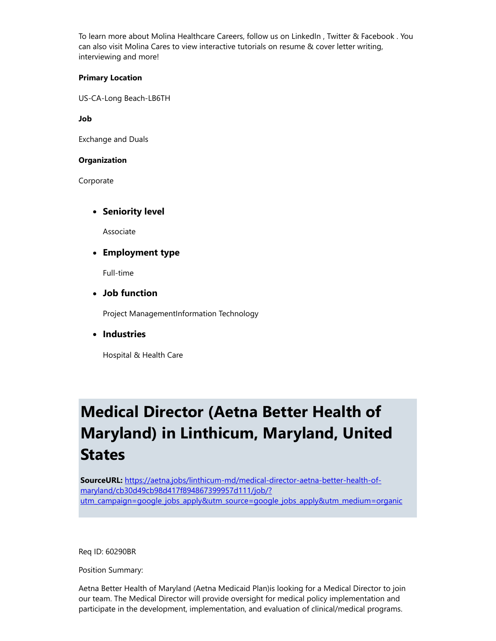To learn more about Molina Healthcare Careers, follow us on LinkedIn , Twitter & Facebook . You can also visit Molina Cares to view interactive tutorials on resume & cover letter writing, interviewing and more!

#### Primary Location

US-CA-Long Beach-LB6TH

Job

Exchange and Duals

#### **Organization**

Corporate

#### • Seniority level

Associate

Employment type

Full-time

Job function

Project ManagementInformation Technology

• Industries

Hospital & Health Care

## Medical Director (Aetna Better Health of Maryland) in Linthicum, Maryland, United **States**

SourceURL: https://aetna.jobs/linthicum-md/medical-director-aetna-better-health-ofmaryland/cb30d49cb98d417f894867399957d111/job/? [utm\\_campaign=google\\_jobs\\_apply&utm\\_source=google\\_jobs\\_apply&utm\\_medium=organic](https://aetna.jobs/linthicum-md/medical-director-aetna-better-health-of-maryland/cb30d49cb98d417f894867399957d111/job/?utm_campaign=google_jobs_apply&utm_source=google_jobs_apply&utm_medium=organic)

Req ID: 60290BR

Position Summary:

Aetna Better Health of Maryland (Aetna Medicaid Plan)is looking for a Medical Director to join our team. The Medical Director will provide oversight for medical policy implementation and participate in the development, implementation, and evaluation of clinical/medical programs.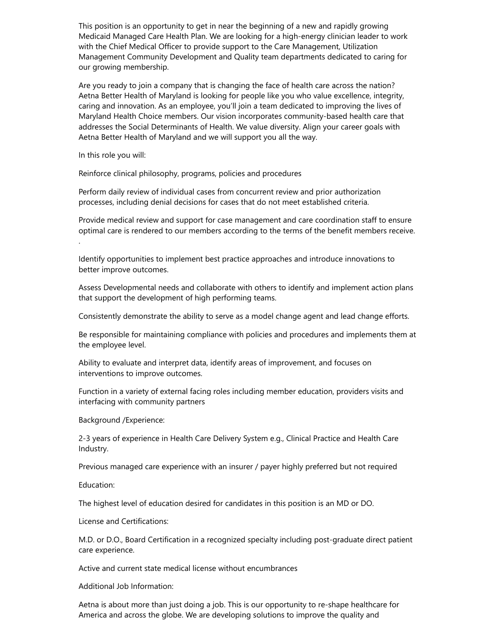This position is an opportunity to get in near the beginning of a new and rapidly growing Medicaid Managed Care Health Plan. We are looking for a high-energy clinician leader to work with the Chief Medical Officer to provide support to the Care Management, Utilization Management Community Development and Quality team departments dedicated to caring for our growing membership.

Are you ready to join a company that is changing the face of health care across the nation? Aetna Better Health of Maryland is looking for people like you who value excellence, integrity, caring and innovation. As an employee, you'll join a team dedicated to improving the lives of Maryland Health Choice members. Our vision incorporates community-based health care that addresses the Social Determinants of Health. We value diversity. Align your career goals with Aetna Better Health of Maryland and we will support you all the way.

In this role you will:

Reinforce clinical philosophy, programs, policies and procedures

Perform daily review of individual cases from concurrent review and prior authorization processes, including denial decisions for cases that do not meet established criteria.

Provide medical review and support for case management and care coordination staff to ensure optimal care is rendered to our members according to the terms of the benefit members receive. .

Identify opportunities to implement best practice approaches and introduce innovations to better improve outcomes.

Assess Developmental needs and collaborate with others to identify and implement action plans that support the development of high performing teams.

Consistently demonstrate the ability to serve as a model change agent and lead change efforts.

Be responsible for maintaining compliance with policies and procedures and implements them at the employee level.

Ability to evaluate and interpret data, identify areas of improvement, and focuses on interventions to improve outcomes.

Function in a variety of external facing roles including member education, providers visits and interfacing with community partners

Background /Experience:

2-3 years of experience in Health Care Delivery System e.g., Clinical Practice and Health Care Industry.

Previous managed care experience with an insurer / payer highly preferred but not required

Education:

The highest level of education desired for candidates in this position is an MD or DO.

License and Certifications:

M.D. or D.O., Board Certification in a recognized specialty including post-graduate direct patient care experience.

Active and current state medical license without encumbrances

Additional Job Information:

Aetna is about more than just doing a job. This is our opportunity to re-shape healthcare for America and across the globe. We are developing solutions to improve the quality and